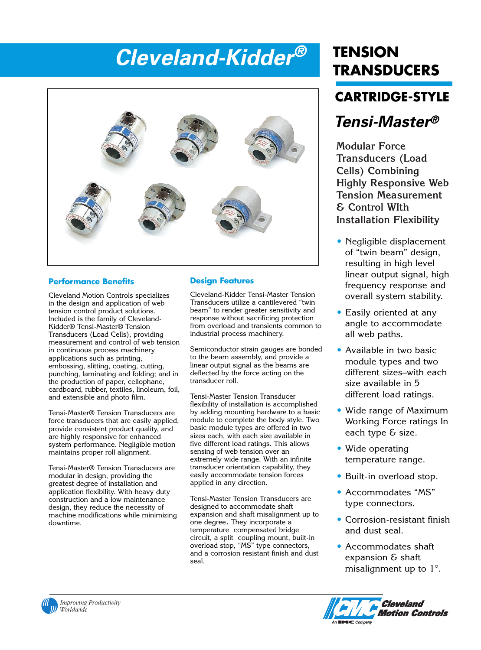## *Cleveland-Kidder®* **TENSION**<br>TRANSDUCERS



## **Performance Benefits**

Cleveland Motion Controls specializes in the design and application of web tension control product solutions. Included is the family of Cleveland-Kidder® Tensi-Master® Tension Transducers (Load Cells), providing measurement and control of web tension in continuous process machinery applications such as printing, embossing, slitting, coating, cutting, punching, laminating and folding; and in the production of paper, cellophane, cardboard, rubber, textiles, linoleum, foil, and extensible and photo film.

Tensi-Master® Tension Transducers are force transducers that are easily applied, provide consistent product quality, and are highly responsive for enhanced system performance. Negligible motion maintains proper roll alignment.

Tensi-Master® Tension Transducers are modular in design, providing the greatest degree of installation and application flexibility. With heavy duty construction and a low maintenance design, they reduce the necessity of machine modifications while minimizing downtime.

## **Design Features**

Cleveland-Kidder Tensi-Master Tension Transducers utilize a cantilevered "twin beam" to render greater sensitivity and response without sacrificing protection from overload and transients common to industrial process machinery.

Semiconductor strain gauges are bonded to the beam assembly, and provide a linear output signal as the beams are deflected by the force acting on the transducer roll.

Tensi-Master Tension Transducer flexibility of installation is accomplished by adding mounting hardware to a basic module to complete the body style. Two basic module types are offered in two sizes each, with each size available in five different load ratings. This allows sensing of web tension over an extremely wide range. With an infinite transducer orientation capability, they easily accommodate tension forces applied in any direction.

Tensi-Master Tension Transducers are designed to accommodate shaft expansion and shaft misalignment up to one degree. They incorporate a temperature compensated bridge circuit, a split coupling mount, built-in overload stop, "MS" type connectors, and a corrosion resistant finish and dust seal.

# **TENSION**

## **CARTRIDGE-STYLE**

## *Tensi-Master®*

**Modular Force Transducers (Load Cells) Combining Highly Responsive Web Tension Measurement & Control WIth Installation Flexibility**

- Negligible displacement of "twin beam" design, resulting in high level linear output signal, high frequency response and overall system stability.
- Easily oriented at any angle to accommodate all web paths.
- Available in two basic module types and two different sizes–with each size available in 5 different load ratings.
- Wide range of Maximum Working Force ratings In each type & size.
- Wide operating temperature range.
- Built-in overload stop.
- Accommodates "MS" type connectors.
- Corrosion-resistant finish and dust seal.
- Accommodates shaft expansion & shaft misalignment up to  $1^\circ$ .



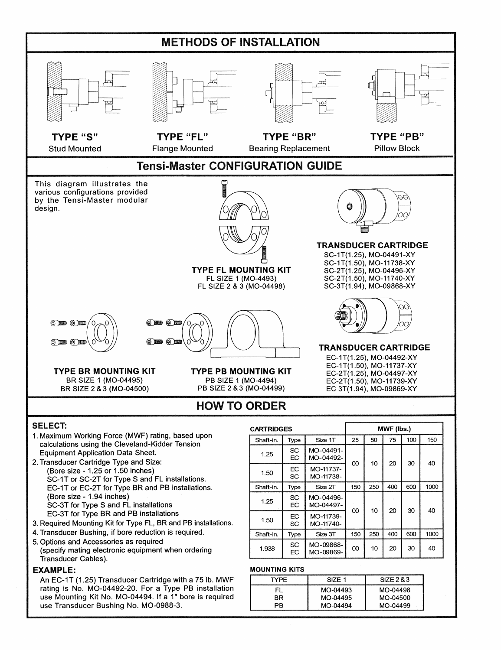

5. Options and Accessories as required (specify mating electronic equipment when ordering Transducer Cables).

#### **EXAMPLE:**

An EC-1T (1.25) Transducer Cartridge with a 75 lb. MWF rating is No. MO-04492-20. For a Type PB installation use Mounting Kit No. MO-04494. If a 1" bore is required use Transducer Bushing No. MO-0988-3.

| Shaft-in. | Type            | Size 1T                | 25       | 50  | 75  | 100 | 150  |
|-----------|-----------------|------------------------|----------|-----|-----|-----|------|
| 1.25      | <b>SC</b><br>EС | MO-04491-<br>MO-04492- | 00       | 10  | 20  | 30  | 40   |
| 1.50      | <b>EC</b><br>SC | MO-11737-<br>MO-11738- |          |     |     |     |      |
| Shaft-in. | Type            | Size 2T                | 150      | 250 | 400 | 600 | 1000 |
| 1.25      | SC<br>EC        | MO-04496-<br>MO-04497- |          | 10  | 20  | 30  | 40   |
| 1.50      | EC<br>SC        | MO-11739-<br>MO-11740- | $\infty$ |     |     |     |      |
| Shaft-in. | Type            | Size 3T                | 150      | 250 | 400 | 600 | 1000 |
| 1.938     | SC.<br>EC       | MO-09868-<br>MO-09869- | $^{00}$  | 10  | 20  | 30  | 40   |

#### **MOUNTING KITS**

| TYPE. | <b>SIZE 1</b> | SIZE 2 & 3 |
|-------|---------------|------------|
|       | MO-04493      | MO-04498   |
| BR.   | MO-04495      | MO-04500   |
| פפ    | MO-04494      | MO-04499   |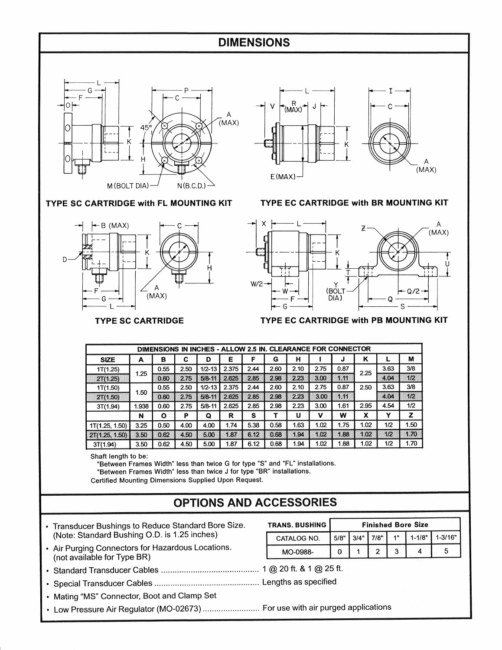## **DIMENSIONS**



TYPE SC CARTRIDGE with FL MOUNTING KIT



#### **TYPE SC CARTRIDGE**



### TYPE EC CARTRIDGE with BR MOUNTING KIT



#### TYPE EC CARTRIDGE with PB MOUNTING KIT

| DIMENSIONS IN INCHES - ALLOW 2.5 IN. CLEARANCE FOR CONNECTOR |       |         |      |            |       |      |      |      |      |      |      |      |      |
|--------------------------------------------------------------|-------|---------|------|------------|-------|------|------|------|------|------|------|------|------|
| <b>SIZE</b>                                                  | А     | в       | С    | D          | Ε     | F    | G    | н    |      | J    | κ    |      | М    |
| 1T(1.25)                                                     |       | 0.55    | 2.50 | $1/2 - 13$ | 2.375 | 2.44 | 2.60 | 2.10 | 2.75 | 0.87 | 2.25 | 3.63 | 3/8  |
| 2T(1.25)                                                     | 1.25  | 0.60    | 2.75 | $5/8 - 11$ | 2.625 | 2.85 | 2.98 | 2.23 | 3.00 | 1.11 |      | 4.04 | 1/2  |
| 1T(1.50)                                                     |       | 0.55    | 2.50 | $1/2 - 13$ | 2.375 | 2.44 | 2.60 | 2.10 | 2.75 | 0.87 | 2.50 | 3.63 | 3/8  |
| 2T(1.50)                                                     | 1.50  | 0.60    | 2.75 | $5/8 - 11$ | 2.625 | 2.85 | 2.98 | 2.23 | 3.00 | 1.11 |      | 4.04 | 1/2  |
| 3T(1.94)                                                     | 1.938 | 0.60    | 2.75 | $5/8 - 11$ | 2.625 | 2.85 | 2.98 | 2.23 | 3.00 | 1.61 | 2.95 | 4.54 | 1/2  |
|                                                              | N     | $\circ$ | P    | Q          | R     | s    | т    | U    | v    | w    | х    | Y    | z    |
| 1T(1.25, 1.50)                                               | 3.25  | 0.50    | 4.00 | 4.00       | 1.74  | 5.38 | 0.58 | 1.63 | 1.02 | 1.75 | 1.02 | 1/2  | 1.50 |
| 2T(1.25, 1.50)                                               | 3.50  | 0.62    | 4.50 | 5.00       | 1.87  | 6.12 | 0.68 | 1.94 | 1.02 | 1.88 | 1.02 | 1/2  | 1.70 |
| 3T(1.94)                                                     | 3.50  | 0.62    | 4.50 | 5.00       | 1.87  | 6.12 | 0.68 | 1.94 | 1.02 | 1.88 | 1.02 | 1/2  | 1.70 |

Shaft length to be:

"Between Frames Width" less than twice G for type "S" and "FL" installations. "Between Frames Width" less than twice J for type "BR" installations.

Certified Mounting Dimensions Supplied Upon Request.

## **OPTIONS AND ACCESSORIES**

- Transducer Bushings to Reduce Standard Bore Size. (Note: Standard Bushing O.D. is 1.25 inches)
- Air Purging Connectors for Hazardous Locations. (not available for Type BR)

| <b>TRANS. BUSHING I</b> | <b>Finished Bore Size</b> |  |       |  |            |             |  |  |  |
|-------------------------|---------------------------|--|-------|--|------------|-------------|--|--|--|
| CATALOG NO.             | 5/8"                      |  | 17/R" |  | $1 - 1/8"$ | $1 - 3/16"$ |  |  |  |
| MO-0988-                |                           |  |       |  |            |             |  |  |  |

- 
- 
- Mating "MS" Connector, Boot and Clamp Set
- Low Pressure Air Regulator (MO-02673) .......................... For use with air purged applications